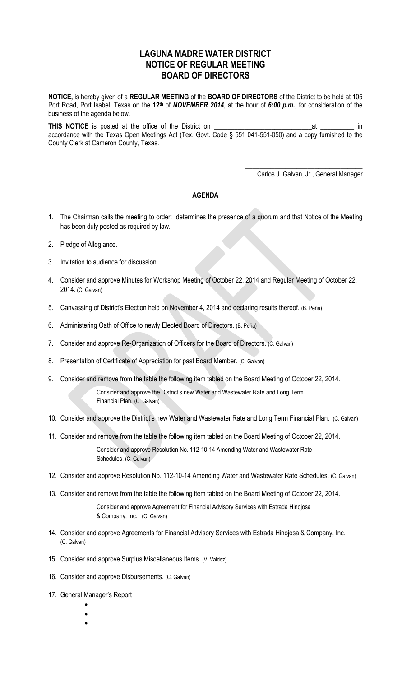## **LAGUNA MADRE WATER DISTRICT NOTICE OF REGULAR MEETING BOARD OF DIRECTORS**

**NOTICE,** is hereby given of a **REGULAR MEETING** of the **BOARD OF DIRECTORS** of the District to be held at 105 Port Road, Port Isabel, Texas on the **12th** of *NOVEMBER 2014*, at the hour of *6:00 p.m.*, for consideration of the business of the agenda below.

**THIS NOTICE** is posted at the office of the District on \_\_\_\_\_\_\_\_\_\_\_\_\_\_\_\_\_\_\_\_\_\_\_\_\_\_\_\_\_at \_\_\_\_\_\_\_\_\_\_ in accordance with the Texas Open Meetings Act (Tex. Govt. Code § 551 041-551-050) and a copy furnished to the County Clerk at Cameron County, Texas.

Carlos J. Galvan, Jr., General Manager

\_\_\_\_\_\_\_\_\_\_\_\_\_\_\_\_\_\_\_\_\_\_\_\_\_\_\_\_\_\_\_\_

## **AGENDA**

- 1. The Chairman calls the meeting to order: determines the presence of a quorum and that Notice of the Meeting has been duly posted as required by law.
- 2. Pledge of Allegiance.
- 3. Invitation to audience for discussion.
- 4. Consider and approve Minutes for Workshop Meeting of October 22, 2014 and Regular Meeting of October 22, 2014. (C. Galvan)
- 5. Canvassing of District's Election held on November 4, 2014 and declaring results thereof. (B. Peña)
- 6. Administering Oath of Office to newly Elected Board of Directors. (B. Peña)
- 7. Consider and approve Re-Organization of Officers for the Board of Directors. (C. Galvan)
- 8. Presentation of Certificate of Appreciation for past Board Member. (C. Galvan)
- 9. Consider and remove from the table the following item tabled on the Board Meeting of October 22, 2014. Consider and approve the District's new Water and Wastewater Rate and Long Term Financial Plan. (C. Galvan)
- 10. Consider and approve the District's new Water and Wastewater Rate and Long Term Financial Plan. (C. Galvan)
- 11. Consider and remove from the table the following item tabled on the Board Meeting of October 22, 2014. Consider and approve Resolution No. 112-10-14 Amending Water and Wastewater Rate Schedules. (C. Galvan)
- 12. Consider and approve Resolution No. 112-10-14 Amending Water and Wastewater Rate Schedules. (C. Galvan)
- 13. Consider and remove from the table the following item tabled on the Board Meeting of October 22, 2014.

Consider and approve Agreement for Financial Advisory Services with Estrada Hinojosa & Company, Inc. (C. Galvan)

- 14. Consider and approve Agreements for Financial Advisory Services with Estrada Hinojosa & Company, Inc. (C. Galvan)
- 15. Consider and approve Surplus Miscellaneous Items. (V. Valdez)
- 16. Consider and approve Disbursements. (C. Galvan)
- 17. General Manager's Report
	- $\bullet$
	- $\bullet$  $\bullet$